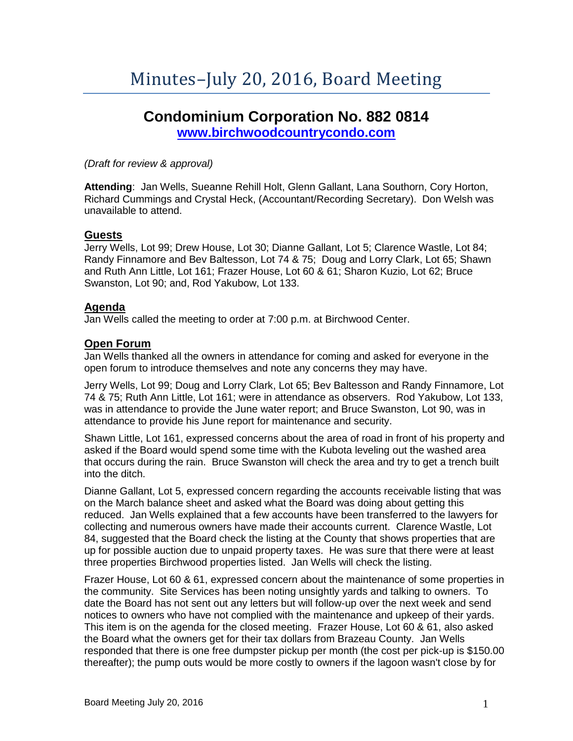# **Condominium Corporation No. 882 0814**

**[www.birchwoodcountrycondo.com](http://www.birchwoodcountrycondo.com/)**

*(Draft for review & approval)*

**Attending**: Jan Wells, Sueanne Rehill Holt, Glenn Gallant, Lana Southorn, Cory Horton, Richard Cummings and Crystal Heck, (Accountant/Recording Secretary). Don Welsh was unavailable to attend.

# **Guests**

Jerry Wells, Lot 99; Drew House, Lot 30; Dianne Gallant, Lot 5; Clarence Wastle, Lot 84; Randy Finnamore and Bev Baltesson, Lot 74 & 75; Doug and Lorry Clark, Lot 65; Shawn and Ruth Ann Little, Lot 161; Frazer House, Lot 60 & 61; Sharon Kuzio, Lot 62; Bruce Swanston, Lot 90; and, Rod Yakubow, Lot 133.

# **Agenda**

Jan Wells called the meeting to order at 7:00 p.m. at Birchwood Center.

# **Open Forum**

Jan Wells thanked all the owners in attendance for coming and asked for everyone in the open forum to introduce themselves and note any concerns they may have.

Jerry Wells, Lot 99; Doug and Lorry Clark, Lot 65; Bev Baltesson and Randy Finnamore, Lot 74 & 75; Ruth Ann Little, Lot 161; were in attendance as observers. Rod Yakubow, Lot 133, was in attendance to provide the June water report; and Bruce Swanston, Lot 90, was in attendance to provide his June report for maintenance and security.

Shawn Little, Lot 161, expressed concerns about the area of road in front of his property and asked if the Board would spend some time with the Kubota leveling out the washed area that occurs during the rain. Bruce Swanston will check the area and try to get a trench built into the ditch.

Dianne Gallant, Lot 5, expressed concern regarding the accounts receivable listing that was on the March balance sheet and asked what the Board was doing about getting this reduced. Jan Wells explained that a few accounts have been transferred to the lawyers for collecting and numerous owners have made their accounts current. Clarence Wastle, Lot 84, suggested that the Board check the listing at the County that shows properties that are up for possible auction due to unpaid property taxes. He was sure that there were at least three properties Birchwood properties listed. Jan Wells will check the listing.

Frazer House, Lot 60 & 61, expressed concern about the maintenance of some properties in the community. Site Services has been noting unsightly yards and talking to owners. To date the Board has not sent out any letters but will follow-up over the next week and send notices to owners who have not complied with the maintenance and upkeep of their yards. This item is on the agenda for the closed meeting. Frazer House, Lot 60 & 61, also asked the Board what the owners get for their tax dollars from Brazeau County. Jan Wells responded that there is one free dumpster pickup per month (the cost per pick-up is \$150.00 thereafter); the pump outs would be more costly to owners if the lagoon wasn't close by for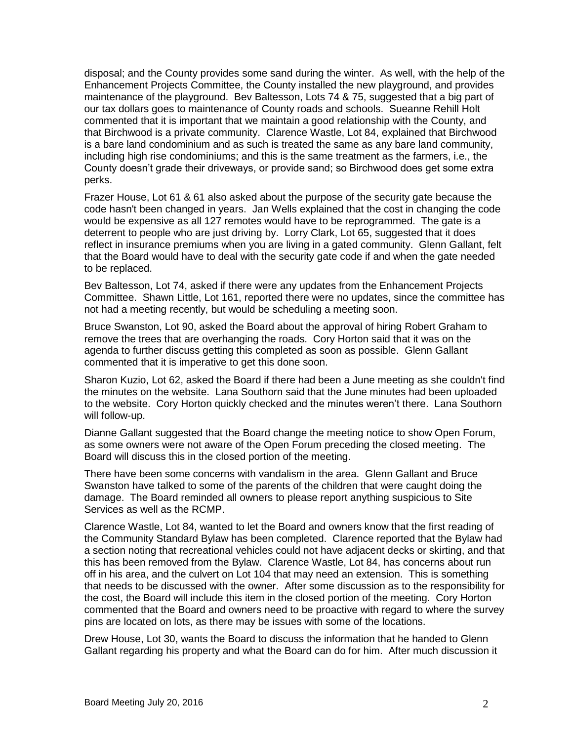disposal; and the County provides some sand during the winter. As well, with the help of the Enhancement Projects Committee, the County installed the new playground, and provides maintenance of the playground. Bev Baltesson, Lots 74 & 75, suggested that a big part of our tax dollars goes to maintenance of County roads and schools. Sueanne Rehill Holt commented that it is important that we maintain a good relationship with the County, and that Birchwood is a private community. Clarence Wastle, Lot 84, explained that Birchwood is a bare land condominium and as such is treated the same as any bare land community, including high rise condominiums; and this is the same treatment as the farmers, i.e., the County doesn't grade their driveways, or provide sand; so Birchwood does get some extra perks.

Frazer House, Lot 61 & 61 also asked about the purpose of the security gate because the code hasn't been changed in years. Jan Wells explained that the cost in changing the code would be expensive as all 127 remotes would have to be reprogrammed. The gate is a deterrent to people who are just driving by. Lorry Clark, Lot 65, suggested that it does reflect in insurance premiums when you are living in a gated community. Glenn Gallant, felt that the Board would have to deal with the security gate code if and when the gate needed to be replaced.

Bev Baltesson, Lot 74, asked if there were any updates from the Enhancement Projects Committee. Shawn Little, Lot 161, reported there were no updates, since the committee has not had a meeting recently, but would be scheduling a meeting soon.

Bruce Swanston, Lot 90, asked the Board about the approval of hiring Robert Graham to remove the trees that are overhanging the roads. Cory Horton said that it was on the agenda to further discuss getting this completed as soon as possible. Glenn Gallant commented that it is imperative to get this done soon.

Sharon Kuzio, Lot 62, asked the Board if there had been a June meeting as she couldn't find the minutes on the website. Lana Southorn said that the June minutes had been uploaded to the website. Cory Horton quickly checked and the minutes weren't there. Lana Southorn will follow-up.

Dianne Gallant suggested that the Board change the meeting notice to show Open Forum, as some owners were not aware of the Open Forum preceding the closed meeting. The Board will discuss this in the closed portion of the meeting.

There have been some concerns with vandalism in the area. Glenn Gallant and Bruce Swanston have talked to some of the parents of the children that were caught doing the damage. The Board reminded all owners to please report anything suspicious to Site Services as well as the RCMP.

Clarence Wastle, Lot 84, wanted to let the Board and owners know that the first reading of the Community Standard Bylaw has been completed. Clarence reported that the Bylaw had a section noting that recreational vehicles could not have adjacent decks or skirting, and that this has been removed from the Bylaw. Clarence Wastle, Lot 84, has concerns about run off in his area, and the culvert on Lot 104 that may need an extension. This is something that needs to be discussed with the owner. After some discussion as to the responsibility for the cost, the Board will include this item in the closed portion of the meeting. Cory Horton commented that the Board and owners need to be proactive with regard to where the survey pins are located on lots, as there may be issues with some of the locations.

Drew House, Lot 30, wants the Board to discuss the information that he handed to Glenn Gallant regarding his property and what the Board can do for him. After much discussion it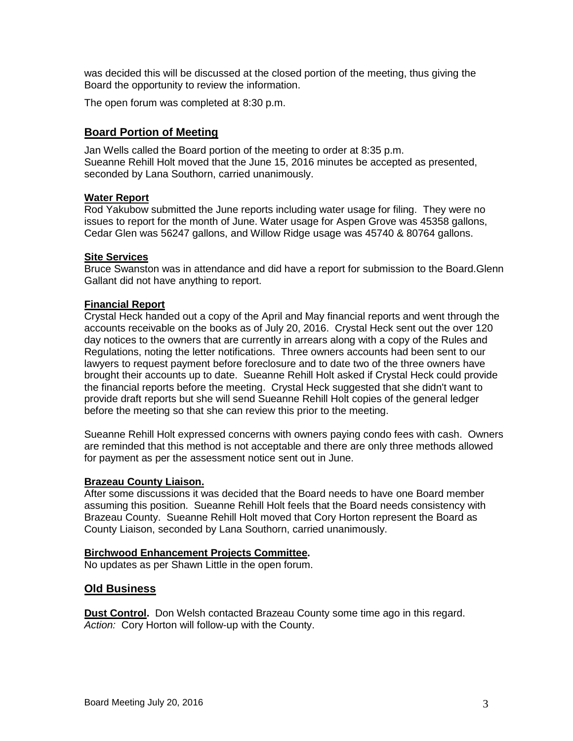was decided this will be discussed at the closed portion of the meeting, thus giving the Board the opportunity to review the information.

The open forum was completed at 8:30 p.m.

# **Board Portion of Meeting**

Jan Wells called the Board portion of the meeting to order at 8:35 p.m. Sueanne Rehill Holt moved that the June 15, 2016 minutes be accepted as presented, seconded by Lana Southorn, carried unanimously.

#### **Water Report**

Rod Yakubow submitted the June reports including water usage for filing. They were no issues to report for the month of June. Water usage for Aspen Grove was 45358 gallons, Cedar Glen was 56247 gallons, and Willow Ridge usage was 45740 & 80764 gallons.

#### **Site Services**

Bruce Swanston was in attendance and did have a report for submission to the Board.Glenn Gallant did not have anything to report.

#### **Financial Report**

Crystal Heck handed out a copy of the April and May financial reports and went through the accounts receivable on the books as of July 20, 2016. Crystal Heck sent out the over 120 day notices to the owners that are currently in arrears along with a copy of the Rules and Regulations, noting the letter notifications. Three owners accounts had been sent to our lawyers to request payment before foreclosure and to date two of the three owners have brought their accounts up to date. Sueanne Rehill Holt asked if Crystal Heck could provide the financial reports before the meeting. Crystal Heck suggested that she didn't want to provide draft reports but she will send Sueanne Rehill Holt copies of the general ledger before the meeting so that she can review this prior to the meeting.

Sueanne Rehill Holt expressed concerns with owners paying condo fees with cash. Owners are reminded that this method is not acceptable and there are only three methods allowed for payment as per the assessment notice sent out in June.

#### **Brazeau County Liaison.**

After some discussions it was decided that the Board needs to have one Board member assuming this position. Sueanne Rehill Holt feels that the Board needs consistency with Brazeau County. Sueanne Rehill Holt moved that Cory Horton represent the Board as County Liaison, seconded by Lana Southorn, carried unanimously.

#### **Birchwood Enhancement Projects Committee.**

No updates as per Shawn Little in the open forum.

# **Old Business**

**Dust Control.** Don Welsh contacted Brazeau County some time ago in this regard. *Action:* Cory Horton will follow-up with the County.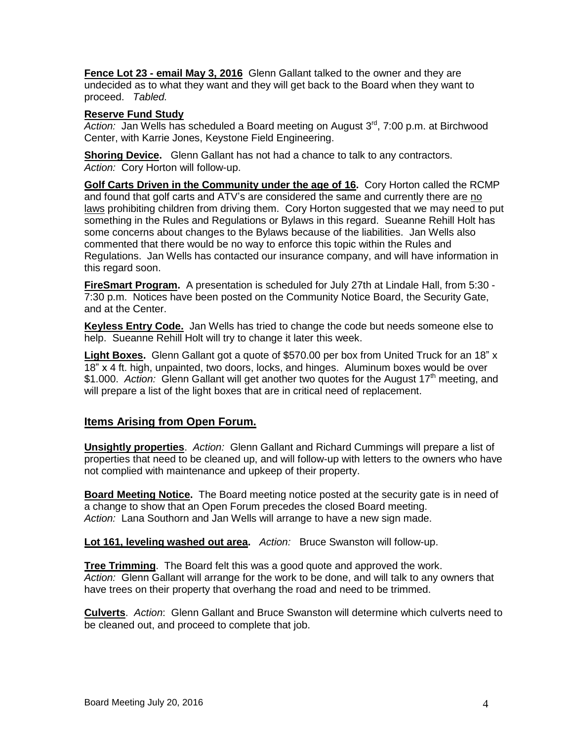**Fence Lot 23 - email May 3, 2016** Glenn Gallant talked to the owner and they are undecided as to what they want and they will get back to the Board when they want to proceed. *Tabled.*

## **Reserve Fund Study**

*Action:* Jan Wells has scheduled a Board meeting on August 3rd, 7:00 p.m. at Birchwood Center, with Karrie Jones, Keystone Field Engineering.

**Shoring Device.** Glenn Gallant has not had a chance to talk to any contractors. *Action:* Cory Horton will follow-up.

**Golf Carts Driven in the Community under the age of 16.** Cory Horton called the RCMP and found that golf carts and ATV's are considered the same and currently there are no laws prohibiting children from driving them. Cory Horton suggested that we may need to put something in the Rules and Regulations or Bylaws in this regard. Sueanne Rehill Holt has some concerns about changes to the Bylaws because of the liabilities. Jan Wells also commented that there would be no way to enforce this topic within the Rules and Regulations. Jan Wells has contacted our insurance company, and will have information in this regard soon.

**FireSmart Program.** A presentation is scheduled for July 27th at Lindale Hall, from 5:30 - 7:30 p.m. Notices have been posted on the Community Notice Board, the Security Gate, and at the Center.

**Keyless Entry Code.** Jan Wells has tried to change the code but needs someone else to help. Sueanne Rehill Holt will try to change it later this week.

**Light Boxes.** Glenn Gallant got a quote of \$570.00 per box from United Truck for an 18" x 18" x 4 ft. high, unpainted, two doors, locks, and hinges. Aluminum boxes would be over \$1.000. *Action:* Glenn Gallant will get another two quotes for the August 17<sup>th</sup> meeting, and will prepare a list of the light boxes that are in critical need of replacement.

# **Items Arising from Open Forum.**

**Unsightly properties**. *Action:* Glenn Gallant and Richard Cummings will prepare a list of properties that need to be cleaned up, and will follow-up with letters to the owners who have not complied with maintenance and upkeep of their property.

**Board Meeting Notice.** The Board meeting notice posted at the security gate is in need of a change to show that an Open Forum precedes the closed Board meeting. *Action:* Lana Southorn and Jan Wells will arrange to have a new sign made.

**Lot 161, leveling washed out area.** *Action:* Bruce Swanston will follow-up.

**Tree Trimming**. The Board felt this was a good quote and approved the work. *Action:* Glenn Gallant will arrange for the work to be done, and will talk to any owners that have trees on their property that overhang the road and need to be trimmed.

**Culverts**. *Action*: Glenn Gallant and Bruce Swanston will determine which culverts need to be cleaned out, and proceed to complete that job.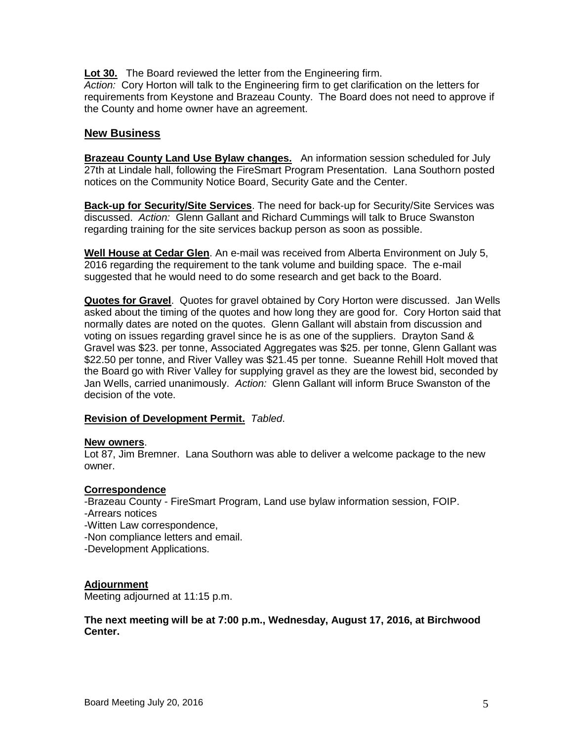**Lot 30.** The Board reviewed the letter from the Engineering firm.

*Action:* Cory Horton will talk to the Engineering firm to get clarification on the letters for requirements from Keystone and Brazeau County. The Board does not need to approve if the County and home owner have an agreement.

# **New Business**

**Brazeau County Land Use Bylaw changes.** An information session scheduled for July 27th at Lindale hall, following the FireSmart Program Presentation. Lana Southorn posted notices on the Community Notice Board, Security Gate and the Center.

**Back-up for Security/Site Services**. The need for back-up for Security/Site Services was discussed. *Action:* Glenn Gallant and Richard Cummings will talk to Bruce Swanston regarding training for the site services backup person as soon as possible.

**Well House at Cedar Glen**. An e-mail was received from Alberta Environment on July 5, 2016 regarding the requirement to the tank volume and building space. The e-mail suggested that he would need to do some research and get back to the Board.

**Quotes for Gravel**. Quotes for gravel obtained by Cory Horton were discussed. Jan Wells asked about the timing of the quotes and how long they are good for. Cory Horton said that normally dates are noted on the quotes. Glenn Gallant will abstain from discussion and voting on issues regarding gravel since he is as one of the suppliers. Drayton Sand & Gravel was \$23. per tonne, Associated Aggregates was \$25. per tonne, Glenn Gallant was \$22.50 per tonne, and River Valley was \$21.45 per tonne. Sueanne Rehill Holt moved that the Board go with River Valley for supplying gravel as they are the lowest bid, seconded by Jan Wells, carried unanimously. *Action:* Glenn Gallant will inform Bruce Swanston of the decision of the vote.

# **Revision of Development Permit.** *Tabled*.

#### **New owners**.

Lot 87, Jim Bremner. Lana Southorn was able to deliver a welcome package to the new owner.

#### **Correspondence**

-Brazeau County - FireSmart Program, Land use bylaw information session, FOIP.

- -Arrears notices
- -Witten Law correspondence,
- -Non compliance letters and email.
- -Development Applications.

# **Adjournment**

Meeting adjourned at 11:15 p.m.

## **The next meeting will be at 7:00 p.m., Wednesday, August 17, 2016, at Birchwood Center.**